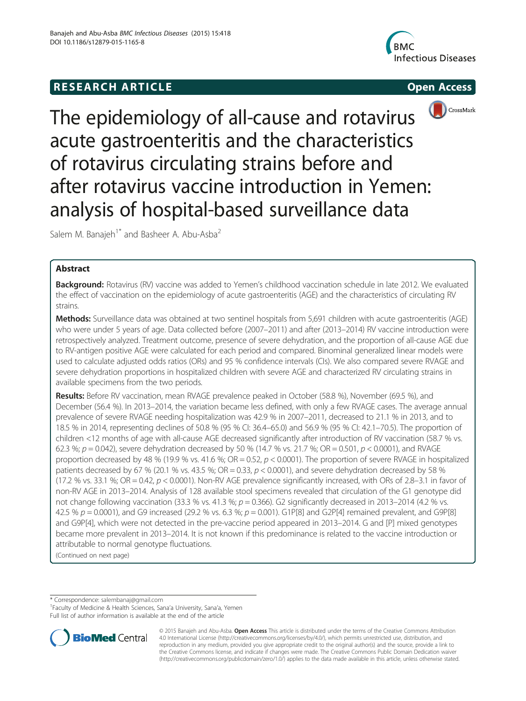# **RESEARCH ARTICLE Example 2014 12:30 The SEAR CHA RTICLE**







The epidemiology of all-cause and rotavirus acute gastroenteritis and the characteristics of rotavirus circulating strains before and after rotavirus vaccine introduction in Yemen: analysis of hospital-based surveillance data

Salem M. Banajeh<sup>1\*</sup> and Basheer A. Abu-Asba<sup>2</sup>

# Abstract

Background: Rotavirus (RV) vaccine was added to Yemen's childhood vaccination schedule in late 2012. We evaluated the effect of vaccination on the epidemiology of acute gastroenteritis (AGE) and the characteristics of circulating RV strains.

Methods: Surveillance data was obtained at two sentinel hospitals from 5,691 children with acute gastroenteritis (AGE) who were under 5 years of age. Data collected before (2007–2011) and after (2013–2014) RV vaccine introduction were retrospectively analyzed. Treatment outcome, presence of severe dehydration, and the proportion of all-cause AGE due to RV-antigen positive AGE were calculated for each period and compared. Binominal generalized linear models were used to calculate adjusted odds ratios (ORs) and 95 % confidence intervals (CIs). We also compared severe RVAGE and severe dehydration proportions in hospitalized children with severe AGE and characterized RV circulating strains in available specimens from the two periods.

Results: Before RV vaccination, mean RVAGE prevalence peaked in October (58.8 %), November (69.5 %), and December (56.4 %). In 2013–2014, the variation became less defined, with only a few RVAGE cases. The average annual prevalence of severe RVAGE needing hospitalization was 42.9 % in 2007–2011, decreased to 21.1 % in 2013, and to 18.5 % in 2014, representing declines of 50.8 % (95 % CI: 36.4–65.0) and 56.9 % (95 % CI: 42.1–70.5). The proportion of children <12 months of age with all-cause AGE decreased significantly after introduction of RV vaccination (58.7 % vs. 62.3 %;  $p = 0.042$ ), severe dehydration decreased by 50 % (14.7 % vs. 21.7 %; OR = 0.501,  $p < 0.0001$ ), and RVAGE proportion decreased by 48 % (19.9 % vs. 41.6 %; OR = 0.52,  $p < 0.0001$ ). The proportion of severe RVAGE in hospitalized patients decreased by 67 % (20.1 % vs. 43.5 %; OR = 0.33,  $p < 0.0001$ ), and severe dehydration decreased by 58 % (17.2 % vs. 33.1 %; OR = 0.42,  $p < 0.0001$ ). Non-RV AGE prevalence significantly increased, with ORs of 2.8–3.1 in favor of non-RV AGE in 2013–2014. Analysis of 128 available stool specimens revealed that circulation of the G1 genotype did not change following vaccination (33.3 % vs. 41.3 %;  $p = 0.366$ ). G2 significantly decreased in 2013–2014 (4.2 % vs. 42.5 %  $p = 0.0001$ ), and G9 increased (29.2 % vs. 6.3 %;  $p = 0.001$ ). G1P[8] and G2P[4] remained prevalent, and G9P[8] and G9P[4], which were not detected in the pre-vaccine period appeared in 2013–2014. G and [P] mixed genotypes became more prevalent in 2013–2014. It is not known if this predominance is related to the vaccine introduction or attributable to normal genotype fluctuations.

(Continued on next page)

\* Correspondence: [salembanaj@gmail.com](mailto:salembanaj@gmail.com) <sup>1</sup>

Full list of author information is available at the end of the article



© 2015 Banajeh and Abu-Asba. Open Access This article is distributed under the terms of the Creative Commons Attribution 4.0 International License ([http://creativecommons.org/licenses/by/4.0/\)](http://creativecommons.org/licenses/by/4.0/), which permits unrestricted use, distribution, and reproduction in any medium, provided you give appropriate credit to the original author(s) and the source, provide a link to the Creative Commons license, and indicate if changes were made. The Creative Commons Public Domain Dedication waiver [\(http://creativecommons.org/publicdomain/zero/1.0/](http://creativecommons.org/publicdomain/zero/1.0/)) applies to the data made available in this article, unless otherwise stated.

Faculty of Medicine & Health Sciences, Sana'a University, Sana'a, Yemen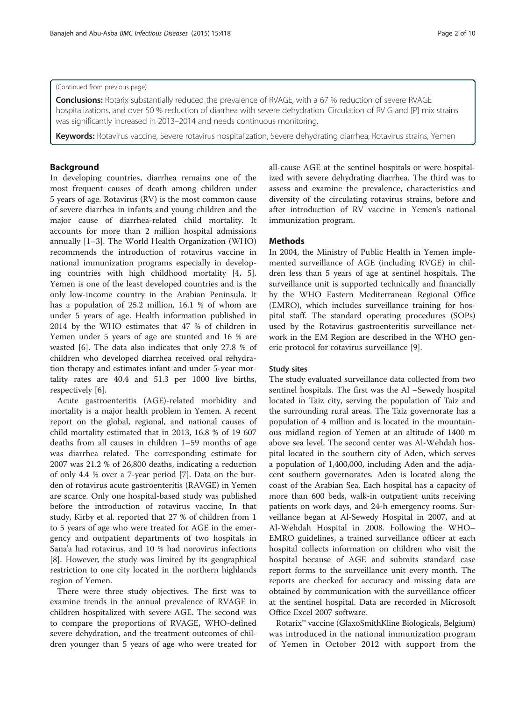#### (Continued from previous page)

Conclusions: Rotarix substantially reduced the prevalence of RVAGE, with a 67 % reduction of severe RVAGE hospitalizations, and over 50 % reduction of diarrhea with severe dehydration. Circulation of RV G and [P] mix strains was significantly increased in 2013–2014 and needs continuous monitoring.

Keywords: Rotavirus vaccine, Severe rotavirus hospitalization, Severe dehydrating diarrhea, Rotavirus strains, Yemen

# Background

In developing countries, diarrhea remains one of the most frequent causes of death among children under 5 years of age. Rotavirus (RV) is the most common cause of severe diarrhea in infants and young children and the major cause of diarrhea-related child mortality. It accounts for more than 2 million hospital admissions annually [[1](#page-9-0)–[3](#page-9-0)]. The World Health Organization (WHO) recommends the introduction of rotavirus vaccine in national immunization programs especially in developing countries with high childhood mortality [\[4](#page-9-0), [5](#page-9-0)]. Yemen is one of the least developed countries and is the only low-income country in the Arabian Peninsula. It has a population of 25.2 million, 16.1 % of whom are under 5 years of age. Health information published in 2014 by the WHO estimates that 47 % of children in Yemen under 5 years of age are stunted and 16 % are wasted [[6\]](#page-9-0). The data also indicates that only 27.8 % of children who developed diarrhea received oral rehydration therapy and estimates infant and under 5-year mortality rates are 40.4 and 51.3 per 1000 live births, respectively [\[6](#page-9-0)].

Acute gastroenteritis (AGE)-related morbidity and mortality is a major health problem in Yemen. A recent report on the global, regional, and national causes of child mortality estimated that in 2013, 16.8 % of 19 607 deaths from all causes in children 1–59 months of age was diarrhea related. The corresponding estimate for 2007 was 21.2 % of 26,800 deaths, indicating a reduction of only 4.4 % over a 7-year period [\[7](#page-9-0)]. Data on the burden of rotavirus acute gastroenteritis (RAVGE) in Yemen are scarce. Only one hospital-based study was published before the introduction of rotavirus vaccine, In that study, Kirby et al. reported that 27 % of children from 1 to 5 years of age who were treated for AGE in the emergency and outpatient departments of two hospitals in Sana'a had rotavirus, and 10 % had norovirus infections [[8\]](#page-9-0). However, the study was limited by its geographical restriction to one city located in the northern highlands region of Yemen.

There were three study objectives. The first was to examine trends in the annual prevalence of RVAGE in children hospitalized with severe AGE. The second was to compare the proportions of RVAGE, WHO-defined severe dehydration, and the treatment outcomes of children younger than 5 years of age who were treated for all-cause AGE at the sentinel hospitals or were hospitalized with severe dehydrating diarrhea. The third was to assess and examine the prevalence, characteristics and diversity of the circulating rotavirus strains, before and after introduction of RV vaccine in Yemen's national immunization program.

## Methods

In 2004, the Ministry of Public Health in Yemen implemented surveillance of AGE (including RVGE) in children less than 5 years of age at sentinel hospitals. The surveillance unit is supported technically and financially by the WHO Eastern Mediterranean Regional Office (EMRO), which includes surveillance training for hospital staff. The standard operating procedures (SOPs) used by the Rotavirus gastroenteritis surveillance network in the EM Region are described in the WHO generic protocol for rotavirus surveillance [[9\]](#page-9-0).

# Study sites

The study evaluated surveillance data collected from two sentinel hospitals. The first was the Al –Sewedy hospital located in Taiz city, serving the population of Taiz and the surrounding rural areas. The Taiz governorate has a population of 4 million and is located in the mountainous midland region of Yemen at an altitude of 1400 m above sea level. The second center was Al-Wehdah hospital located in the southern city of Aden, which serves a population of 1,400,000, including Aden and the adjacent southern governorates. Aden is located along the coast of the Arabian Sea. Each hospital has a capacity of more than 600 beds, walk-in outpatient units receiving patients on work days, and 24-h emergency rooms. Surveillance began at Al-Sewedy Hospital in 2007, and at Al-Wehdah Hospital in 2008. Following the WHO– EMRO guidelines, a trained surveillance officer at each hospital collects information on children who visit the hospital because of AGE and submits standard case report forms to the surveillance unit every month. The reports are checked for accuracy and missing data are obtained by communication with the surveillance officer at the sentinel hospital. Data are recorded in Microsoft Office Excel 2007 software.

Rotarix™ vaccine (GlaxoSmithKline Biologicals, Belgium) was introduced in the national immunization program of Yemen in October 2012 with support from the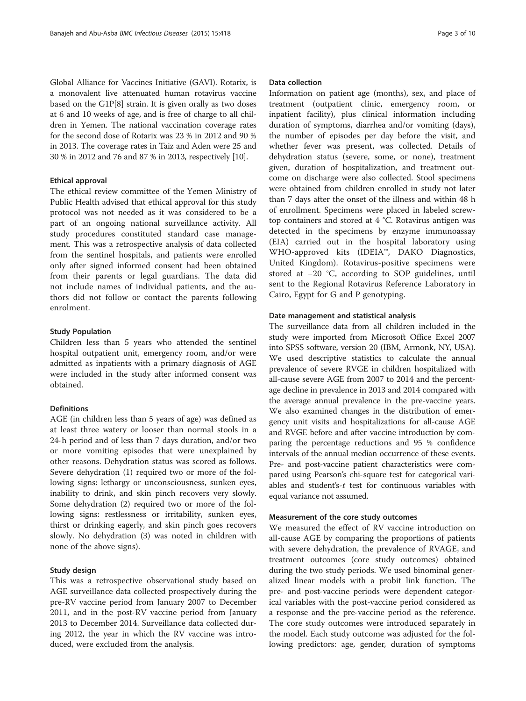Global Alliance for Vaccines Initiative (GAVI). Rotarix, is a monovalent live attenuated human rotavirus vaccine based on the G1P[8] strain. It is given orally as two doses at 6 and 10 weeks of age, and is free of charge to all children in Yemen. The national vaccination coverage rates for the second dose of Rotarix was 23 % in 2012 and 90 % in 2013. The coverage rates in Taiz and Aden were 25 and 30 % in 2012 and 76 and 87 % in 2013, respectively [\[10\]](#page-9-0).

# Ethical approval

The ethical review committee of the Yemen Ministry of Public Health advised that ethical approval for this study protocol was not needed as it was considered to be a part of an ongoing national surveillance activity. All study procedures constituted standard case management. This was a retrospective analysis of data collected from the sentinel hospitals, and patients were enrolled only after signed informed consent had been obtained from their parents or legal guardians. The data did not include names of individual patients, and the authors did not follow or contact the parents following enrolment.

# Study Population

Children less than 5 years who attended the sentinel hospital outpatient unit, emergency room, and/or were admitted as inpatients with a primary diagnosis of AGE were included in the study after informed consent was obtained.

### Definitions

AGE (in children less than 5 years of age) was defined as at least three watery or looser than normal stools in a 24-h period and of less than 7 days duration, and/or two or more vomiting episodes that were unexplained by other reasons. Dehydration status was scored as follows. Severe dehydration (1) required two or more of the following signs: lethargy or unconsciousness, sunken eyes, inability to drink, and skin pinch recovers very slowly. Some dehydration (2) required two or more of the following signs: restlessness or irritability, sunken eyes, thirst or drinking eagerly, and skin pinch goes recovers slowly. No dehydration (3) was noted in children with none of the above signs).

### Study design

This was a retrospective observational study based on AGE surveillance data collected prospectively during the pre-RV vaccine period from January 2007 to December 2011, and in the post-RV vaccine period from January 2013 to December 2014. Surveillance data collected during 2012, the year in which the RV vaccine was introduced, were excluded from the analysis.

#### Data collection

Information on patient age (months), sex, and place of treatment (outpatient clinic, emergency room, or inpatient facility), plus clinical information including duration of symptoms, diarrhea and/or vomiting (days), the number of episodes per day before the visit, and whether fever was present, was collected. Details of dehydration status (severe, some, or none), treatment given, duration of hospitalization, and treatment outcome on discharge were also collected. Stool specimens were obtained from children enrolled in study not later than 7 days after the onset of the illness and within 48 h of enrollment. Specimens were placed in labeled screwtop containers and stored at 4 °C. Rotavirus antigen was detected in the specimens by enzyme immunoassay (EIA) carried out in the hospital laboratory using WHO-approved kits (IDEIA™, DAKO Diagnostics, United Kingdom). Rotavirus-positive specimens were stored at −20 °C, according to SOP guidelines, until sent to the Regional Rotavirus Reference Laboratory in Cairo, Egypt for G and P genotyping.

## Date management and statistical analysis

The surveillance data from all children included in the study were imported from Microsoft Office Excel 2007 into SPSS software, version 20 (IBM, Armonk, NY, USA). We used descriptive statistics to calculate the annual prevalence of severe RVGE in children hospitalized with all-cause severe AGE from 2007 to 2014 and the percentage decline in prevalence in 2013 and 2014 compared with the average annual prevalence in the pre-vaccine years. We also examined changes in the distribution of emergency unit visits and hospitalizations for all-cause AGE and RVGE before and after vaccine introduction by comparing the percentage reductions and 95 % confidence intervals of the annual median occurrence of these events. Pre- and post-vaccine patient characteristics were compared using Pearson's chi-square test for categorical variables and student's-t test for continuous variables with equal variance not assumed.

#### Measurement of the core study outcomes

We measured the effect of RV vaccine introduction on all-cause AGE by comparing the proportions of patients with severe dehydration, the prevalence of RVAGE, and treatment outcomes (core study outcomes) obtained during the two study periods. We used binominal generalized linear models with a probit link function. The pre- and post-vaccine periods were dependent categorical variables with the post-vaccine period considered as a response and the pre-vaccine period as the reference. The core study outcomes were introduced separately in the model. Each study outcome was adjusted for the following predictors: age, gender, duration of symptoms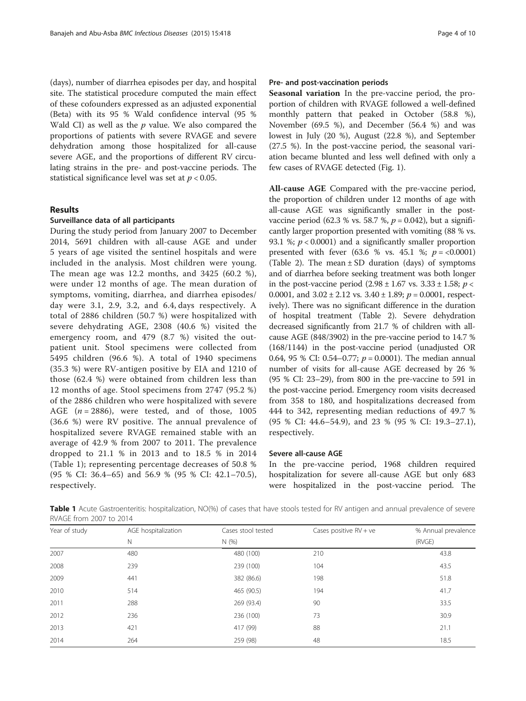(days), number of diarrhea episodes per day, and hospital site. The statistical procedure computed the main effect of these cofounders expressed as an adjusted exponential (Beta) with its 95 % Wald confidence interval (95 % Wald CI) as well as the  $p$  value. We also compared the proportions of patients with severe RVAGE and severe dehydration among those hospitalized for all-cause severe AGE, and the proportions of different RV circulating strains in the pre- and post-vaccine periods. The statistical significance level was set at  $p < 0.05$ .

# Results

# Surveillance data of all participants

During the study period from January 2007 to December 2014, 5691 children with all-cause AGE and under 5 years of age visited the sentinel hospitals and were included in the analysis. Most children were young. The mean age was 12.2 months, and 3425 (60.2 %), were under 12 months of age. The mean duration of symptoms, vomiting, diarrhea, and diarrhea episodes/ day were 3.1, 2.9, 3.2, and 6.4, days respectively. A total of 2886 children (50.7 %) were hospitalized with severe dehydrating AGE, 2308 (40.6 %) visited the emergency room, and 479 (8.7 %) visited the outpatient unit. Stool specimens were collected from 5495 children (96.6 %). A total of 1940 specimens (35.3 %) were RV-antigen positive by EIA and 1210 of those (62.4 %) were obtained from children less than 12 months of age. Stool specimens from 2747 (95.2 %) of the 2886 children who were hospitalized with severe AGE  $(n = 2886)$ , were tested, and of those, 1005 (36.6 %) were RV positive. The annual prevalence of hospitalized severe RVAGE remained stable with an average of 42.9 % from 2007 to 2011. The prevalence dropped to 21.1 % in 2013 and to 18.5 % in 2014 (Table 1); representing percentage decreases of 50.8 % (95 % CI: 36.4–65) and 56.9 % (95 % CI: 42.1–70.5), respectively.

### Pre- and post-vaccination periods

Seasonal variation In the pre-vaccine period, the proportion of children with RVAGE followed a well-defined monthly pattern that peaked in October (58.8 %), November (69.5 %), and December (56.4 %) and was lowest in July (20 %), August (22.8 %), and September (27.5 %). In the post-vaccine period, the seasonal variation became blunted and less well defined with only a few cases of RVAGE detected (Fig. [1](#page-4-0)).

All-cause AGE Compared with the pre-vaccine period, the proportion of children under 12 months of age with all-cause AGE was significantly smaller in the postvaccine period (62.3 % vs. 58.7 %,  $p = 0.042$ ), but a significantly larger proportion presented with vomiting (88 % vs. 93.1 %;  $p < 0.0001$ ) and a significantly smaller proportion presented with fever  $(63.6 %$  vs. 45.1 %;  $p = <0.0001$ ) (Table [2](#page-5-0)). The mean  $\pm$  SD duration (days) of symptoms and of diarrhea before seeking treatment was both longer in the post-vaccine period  $(2.98 \pm 1.67 \text{ vs. } 3.33 \pm 1.58; p <$ 0.0001, and  $3.02 \pm 2.12$  vs.  $3.40 \pm 1.89$ ;  $p = 0.0001$ , respectively). There was no significant difference in the duration of hospital treatment (Table [2](#page-5-0)). Severe dehydration decreased significantly from 21.7 % of children with allcause AGE (848/3902) in the pre-vaccine period to 14.7 % (168/1144) in the post-vaccine period (unadjusted OR 0.64, 95 % CI: 0.54–0.77;  $p = 0.0001$ ). The median annual number of visits for all-cause AGE decreased by 26 % (95 % CI: 23–29), from 800 in the pre-vaccine to 591 in the post-vaccine period. Emergency room visits decreased from 358 to 180, and hospitalizations decreased from 444 to 342, representing median reductions of 49.7 % (95 % CI: 44.6–54.9), and 23 % (95 % CI: 19.3–27.1), respectively.

## Severe all-cause AGE

In the pre-vaccine period, 1968 children required hospitalization for severe all-cause AGE but only 683 were hospitalized in the post-vaccine period. The

Table 1 Acute Gastroenteritis: hospitalization, NO(%) of cases that have stools tested for RV antigen and annual prevalence of severe RVAGE from 2007 to 2014

| Year of study | AGE hospitalization | Cases stool tested | Cases positive $RV + ve$ | % Annual prevalence |
|---------------|---------------------|--------------------|--------------------------|---------------------|
|               | Ν                   | N(%)               |                          | (RVGE)              |
| 2007          | 480                 | 480 (100)          | 210                      | 43.8                |
| 2008          | 239                 | 239 (100)          | 104                      | 43.5                |
| 2009          | 441                 | 382 (86.6)         | 198                      | 51.8                |
| 2010          | 514                 | 465 (90.5)         | 194                      | 41.7                |
| 2011          | 288                 | 269 (93.4)         | 90                       | 33.5                |
| 2012          | 236                 | 236 (100)          | 73                       | 30.9                |
| 2013          | 421                 | 417 (99)           | 88                       | 21.1                |
| 2014          | 264                 | 259 (98)           | 48                       | 18.5                |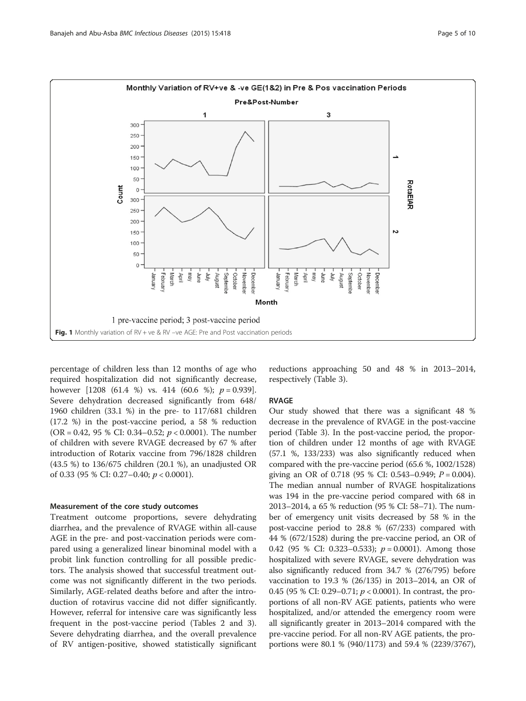<span id="page-4-0"></span>

percentage of children less than 12 months of age who required hospitalization did not significantly decrease, however  $[1208 (61.4 %)$  vs. 414  $(60.6 %); p = 0.939]$ . Severe dehydration decreased significantly from 648/ 1960 children (33.1 %) in the pre- to 117/681 children (17.2 %) in the post-vaccine period, a 58 % reduction (OR = 0.42, 95 % CI: 0.34–0.52;  $p < 0.0001$ ). The number of children with severe RVAGE decreased by 67 % after introduction of Rotarix vaccine from 796/1828 children (43.5 %) to 136/675 children (20.1 %), an unadjusted OR of 0.33 (95 % CI: 0.27–0.40;  $p < 0.0001$ ).

#### Measurement of the core study outcomes

Treatment outcome proportions, severe dehydrating diarrhea, and the prevalence of RVAGE within all-cause AGE in the pre- and post-vaccination periods were compared using a generalized linear binominal model with a probit link function controlling for all possible predictors. The analysis showed that successful treatment outcome was not significantly different in the two periods. Similarly, AGE-related deaths before and after the introduction of rotavirus vaccine did not differ significantly. However, referral for intensive care was significantly less frequent in the post-vaccine period (Tables [2](#page-5-0) and [3](#page-6-0)). Severe dehydrating diarrhea, and the overall prevalence of RV antigen-positive, showed statistically significant

reductions approaching 50 and 48 % in 2013–2014, respectively (Table [3](#page-6-0)).

#### RVAGE

Our study showed that there was a significant 48 % decrease in the prevalence of RVAGE in the post-vaccine period (Table [3\)](#page-6-0). In the post-vaccine period, the proportion of children under 12 months of age with RVAGE (57.1 %, 133/233) was also significantly reduced when compared with the pre-vaccine period (65.6 %, 1002/1528) giving an OR of 0.718 (95 % CI: 0.543–0.949;  $P = 0.004$ ). The median annual number of RVAGE hospitalizations was 194 in the pre-vaccine period compared with 68 in 2013–2014, a 65 % reduction (95 % CI: 58–71). The number of emergency unit visits decreased by 58 % in the post-vaccine period to 28.8 % (67/233) compared with 44 % (672/1528) during the pre-vaccine period, an OR of 0.42 (95 % CI: 0.323–0.533);  $p = 0.0001$ ). Among those hospitalized with severe RVAGE, severe dehydration was also significantly reduced from 34.7 % (276/795) before vaccination to 19.3 % (26/135) in 2013–2014, an OR of 0.45 (95 % CI: 0.29–0.71;  $p < 0.0001$ ). In contrast, the proportions of all non-RV AGE patients, patients who were hospitalized, and/or attended the emergency room were all significantly greater in 2013–2014 compared with the pre-vaccine period. For all non-RV AGE patients, the proportions were 80.1 % (940/1173) and 59.4 % (2239/3767),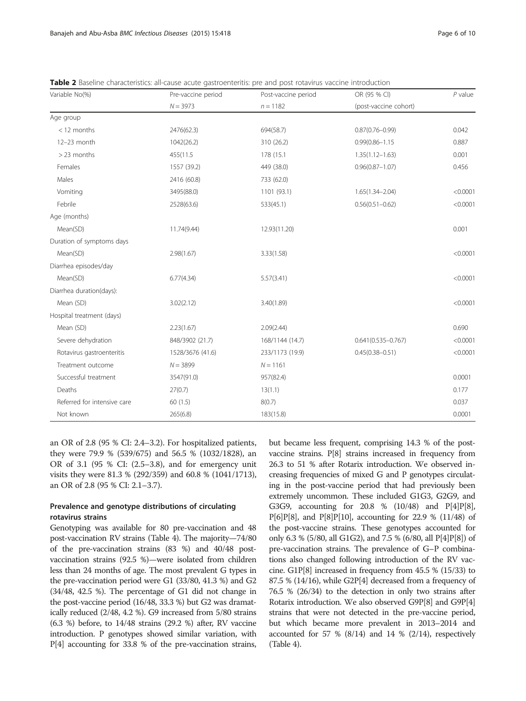| Variable No(%)              | Pre-vaccine period | Post-vaccine period | OR (95 % CI)           | $P$ value |
|-----------------------------|--------------------|---------------------|------------------------|-----------|
|                             | $N = 3973$         | $n = 1182$          | (post-vaccine cohort)  |           |
| Age group                   |                    |                     |                        |           |
| $<$ 12 months               | 2476(62.3)         | 694(58.7)           | $0.87(0.76 - 0.99)$    | 0.042     |
| 12-23 month                 | 1042(26.2)         | 310 (26.2)          | $0.99(0.86 - 1.15)$    | 0.887     |
| > 23 months                 | 455(11.5           | 178 (15.1)          | $1.35(1.12 - 1.63)$    | 0.001     |
| Females                     | 1557 (39.2)        | 449 (38.0)          | $0.96(0.87 - 1.07)$    | 0.456     |
| Males                       | 2416 (60.8)        | 733 (62.0)          |                        |           |
| Vomiting                    | 3495(88.0)         | 1101 (93.1)         | $1.65(1.34 - 2.04)$    | < 0.0001  |
| Febrile                     | 2528(63.6)         | 533(45.1)           | $0.56(0.51 - 0.62)$    | < 0.0001  |
| Age (months)                |                    |                     |                        |           |
| Mean(SD)                    | 11.74(9.44)        | 12.93(11.20)        |                        | 0.001     |
| Duration of symptoms days   |                    |                     |                        |           |
| Mean(SD)                    | 2.98(1.67)         | 3.33(1.58)          |                        | < 0.0001  |
| Diarrhea episodes/day       |                    |                     |                        |           |
| Mean(SD)                    | 6.77(4.34)         | 5.57(3.41)          |                        | < 0.0001  |
| Diarrhea duration(days):    |                    |                     |                        |           |
| Mean (SD)                   | 3.02(2.12)         | 3.40(1.89)          |                        | < 0.0001  |
| Hospital treatment (days)   |                    |                     |                        |           |
| Mean (SD)                   | 2.23(1.67)         | 2.09(2.44)          |                        | 0.690     |
| Severe dehydration          | 848/3902 (21.7)    | 168/1144 (14.7)     | $0.641(0.535 - 0.767)$ | < 0.0001  |
| Rotavirus gastroenteritis   | 1528/3676 (41.6)   | 233/1173 (19.9)     | $0.45(0.38 - 0.51)$    | < 0.0001  |
| Treatment outcome           | $N = 3899$         | $N = 1161$          |                        |           |
| Successful treatment        | 3547(91.0)         | 957(82.4)           |                        | 0.0001    |
| Deaths                      | 27(0.7)            | 13(1.1)             |                        | 0.177     |
| Referred for intensive care | 60(1.5)            | 8(0.7)              |                        | 0.037     |
| Not known                   | 265(6.8)           | 183(15.8)           |                        | 0.0001    |

<span id="page-5-0"></span>Table 2 Baseline characteristics: all-cause acute gastroenteritis: pre and post rotavirus vaccine introduction

an OR of 2.8 (95 % CI: 2.4–3.2). For hospitalized patients, they were 79.9 % (539/675) and 56.5 % (1032/1828), an OR of 3.1 (95 % CI: (2.5–3.8), and for emergency unit visits they were 81.3 % (292/359) and 60.8 % (1041/1713), an OR of 2.8 (95 % CI: 2.1–3.7).

# Prevalence and genotype distributions of circulating rotavirus strains

Genotyping was available for 80 pre-vaccination and 48 post-vaccination RV strains (Table [4\)](#page-6-0). The majority—74/80 of the pre-vaccination strains (83 %) and 40/48 postvaccination strains (92.5 %)—were isolated from children less than 24 months of age. The most prevalent G types in the pre-vaccination period were G1 (33/80, 41.3 %) and G2 (34/48, 42.5 %). The percentage of G1 did not change in the post-vaccine period (16/48, 33.3 %) but G2 was dramatically reduced (2/48, 4.2 %). G9 increased from 5/80 strains (6.3 %) before, to 14/48 strains (29.2 %) after, RV vaccine introduction. P genotypes showed similar variation, with P[4] accounting for 33.8 % of the pre-vaccination strains,

but became less frequent, comprising 14.3 % of the postvaccine strains. P[8] strains increased in frequency from 26.3 to 51 % after Rotarix introduction. We observed increasing frequencies of mixed G and P genotypes circulating in the post-vaccine period that had previously been extremely uncommon. These included G1G3, G2G9, and G3G9, accounting for 20.8 % (10/48) and P[4]P[8],  $P[6]P[8]$ , and  $P[8]P[10]$ , accounting for 22.9 % (11/48) of the post-vaccine strains. These genotypes accounted for only 6.3 % (5/80, all G1G2), and 7.5 % (6/80, all P[4]P[8]) of pre-vaccination strains. The prevalence of G–P combinations also changed following introduction of the RV vaccine. G1P[8] increased in frequency from 45.5 % (15/33) to 87.5 % (14/16), while G2P[4] decreased from a frequency of 76.5 % (26/34) to the detection in only two strains after Rotarix introduction. We also observed G9P[8] and G9P[4] strains that were not detected in the pre-vaccine period, but which became more prevalent in 2013–2014 and accounted for 57 % (8/14) and 14 % (2/14), respectively (Table [4](#page-6-0)).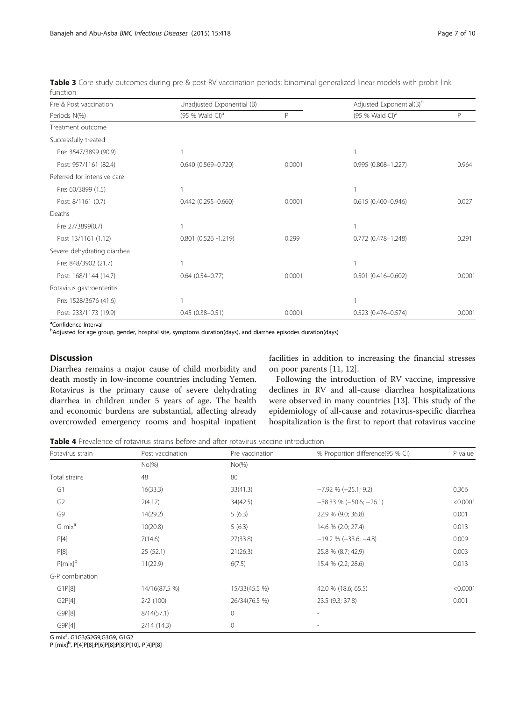<span id="page-6-0"></span>Table 3 Core study outcomes during pre & post-RV vaccination periods: binominal generalized linear models with probit link function

| Pre & Post vaccination      | Unadjusted Exponential (B)  |        | Adjusted Exponential(B) <sup>b</sup> |        |
|-----------------------------|-----------------------------|--------|--------------------------------------|--------|
| Periods N(%)                | (95 % Wald CI) <sup>a</sup> | P      | (95 % Wald CI) <sup>a</sup>          | P      |
| Treatment outcome           |                             |        |                                      |        |
| Successfully treated        |                             |        |                                      |        |
| Pre: 3547/3899 (90.9)       |                             |        |                                      |        |
| Post: 957/1161 (82.4)       | $0.640(0.569 - 0.720)$      | 0.0001 | 0.995 (0.808-1.227)                  | 0.964  |
| Referred for intensive care |                             |        |                                      |        |
| Pre: 60/3899 (1.5)          |                             |        |                                      |        |
| Post: 8/1161 (0.7)          | $0.442(0.295 - 0.660)$      | 0.0001 | $0.615(0.400 - 0.946)$               | 0.027  |
| Deaths                      |                             |        |                                      |        |
| Pre 27/3899(0.7)            |                             |        |                                      |        |
| Post 13/1161 (1.12)         | $0.801$ $(0.526 -1.219)$    | 0.299  | 0.772 (0.478-1.248)                  | 0.291  |
| Severe dehydrating diarrhea |                             |        |                                      |        |
| Pre: 848/3902 (21.7)        |                             |        |                                      |        |
| Post: 168/1144 (14.7)       | $0.64(0.54 - 0.77)$         | 0.0001 | $0.501$ $(0.416 - 0.602)$            | 0.0001 |
| Rotavirus gastroenteritis   |                             |        |                                      |        |
| Pre: 1528/3676 (41.6)       |                             |        |                                      |        |
| Post: 233/1173 (19.9)       | $0.45(0.38 - 0.51)$         | 0.0001 | $0.523(0.476 - 0.574)$               | 0.0001 |

<sup>a</sup>Confidence Interval

b<br>Adjusted for age group, gender, hospital site, symptoms duration(days), and diarrhea episodes duration(days)

# **Discussion**

Diarrhea remains a major cause of child morbidity and death mostly in low-income countries including Yemen. Rotavirus is the primary cause of severe dehydrating diarrhea in children under 5 years of age. The health and economic burdens are substantial, affecting already overcrowded emergency rooms and hospital inpatient facilities in addition to increasing the financial stresses on poor parents [[11](#page-9-0), [12](#page-9-0)].

Following the introduction of RV vaccine, impressive declines in RV and all-cause diarrhea hospitalizations were observed in many countries [[13\]](#page-9-0). This study of the epidemiology of all-cause and rotavirus-specific diarrhea hospitalization is the first to report that rotavirus vaccine

Table 4 Prevalence of rotavirus strains before and after rotavirus vaccine introduction

| Rotavirus strain   | Post vaccination | Pre vaccination | % Proportion difference(95 % CI) | P value  |
|--------------------|------------------|-----------------|----------------------------------|----------|
|                    | $No(\%)$         | $No(\%)$        |                                  |          |
| Total strains      | 48               | 80              |                                  |          |
| G1                 | 16(33.3)         | 33(41.3)        | $-7.92$ % ( $-25.1$ ; 9.2)       | 0.366    |
| G <sub>2</sub>     | 2(4.17)          | 34(42.5)        | $-38.33$ % $(-50.6; -26.1)$      | < 0.0001 |
| G9                 | 14(29.2)         | 5(6.3)          | 22.9 % (9.0; 36.8)               | 0.001    |
| G mix <sup>a</sup> | 10(20.8)         | 5(6.3)          | 14.6 % (2.0; 27.4)               | 0.013    |
| P[4]               | 7(14.6)          | 27(33.8)        | $-19.2$ % ( $-33.6$ ; $-4.8$ )   | 0.009    |
| P[8]               | 25(52.1)         | 21(26.3)        | 25.8 % (8.7; 42.9)               | 0.003    |
| $P{mix}^b$         | 11(22.9)         | 6(7.5)          | 15.4 % (2.2; 28.6)               | 0.013    |
| G-P combination    |                  |                 |                                  |          |
| G1P[8]             | 14/16(87.5 %)    | 15/33(45.5 %)   | 42.0 % (18.6; 65.5)              | < 0.0001 |
| G2P[4]             | 2/2(100)         | 26/34(76.5 %)   | 23.5 (9.3; 37.8)                 | 0.001    |
| G9P[8]             | 8/14(57.1)       | 0               |                                  |          |
| GSP[4]             | 2/14(14.3)       | 0               |                                  |          |

G mix<sup>a</sup>, G1G3;G2G9;G3G9, G1G2

P [mix]b , P[4]P[8];P[6]P[8];P[8]P[10], P[4]P[8]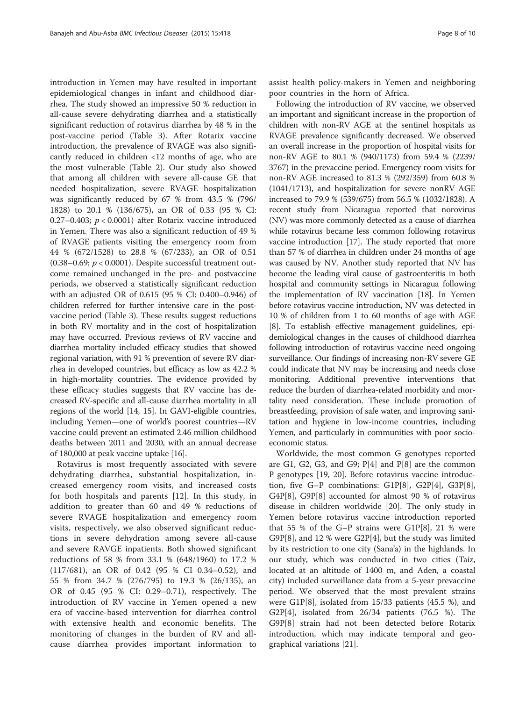introduction in Yemen may have resulted in important epidemiological changes in infant and childhood diarrhea. The study showed an impressive 50 % reduction in all-cause severe dehydrating diarrhea and a statistically significant reduction of rotavirus diarrhea by 48 % in the post-vaccine period (Table [3](#page-6-0)). After Rotarix vaccine introduction, the prevalence of RVAGE was also significantly reduced in children <12 months of age, who are the most vulnerable (Table [2](#page-5-0)). Our study also showed that among all children with severe all-cause GE that needed hospitalization, severe RVAGE hospitalization was significantly reduced by 67 % from 43.5 % (796/ 1828) to 20.1 % (136/675), an OR of 0.33 (95 % CI: 0.27–0.403;  $p < 0.0001$ ) after Rotarix vaccine introduced in Yemen. There was also a significant reduction of 49 % of RVAGE patients visiting the emergency room from 44 % (672/1528) to 28.8 % (67/233), an OR of 0.51 (0.38–0.69;  $p < 0.0001$ ). Despite successful treatment outcome remained unchanged in the pre- and postvaccine periods, we observed a statistically significant reduction with an adjusted OR of 0.615 (95 % CI: 0.400–0.946) of children referred for further intensive care in the postvaccine period (Table [3](#page-6-0)). These results suggest reductions in both RV mortality and in the cost of hospitalization may have occurred. Previous reviews of RV vaccine and diarrhea mortality included efficacy studies that showed regional variation, with 91 % prevention of severe RV diarrhea in developed countries, but efficacy as low as 42.2 % in high-mortality countries. The evidence provided by these efficacy studies suggests that RV vaccine has decreased RV-specific and all-cause diarrhea mortality in all regions of the world [[14](#page-9-0), [15\]](#page-9-0). In GAVI-eligible countries, including Yemen—one of world's poorest countries—RV vaccine could prevent an estimated 2.46 million childhood deaths between 2011 and 2030, with an annual decrease of 180,000 at peak vaccine uptake [[16](#page-9-0)].

Rotavirus is most frequently associated with severe dehydrating diarrhea, substantial hospitalization, increased emergency room visits, and increased costs for both hospitals and parents [[12\]](#page-9-0). In this study, in addition to greater than 60 and 49 % reductions of severe RVAGE hospitalization and emergency room visits, respectively, we also observed significant reductions in severe dehydration among severe all-cause and severe RAVGE inpatients. Both showed significant reductions of 58 % from 33.1 % (648/1960) to 17.2 % (117/681), an OR of 0.42 (95 % CI 0.34–0.52), and 55 % from 34.7 % (276/795) to 19.3 % (26/135), an OR of 0.45 (95 % CI: 0.29–0.71), respectively. The introduction of RV vaccine in Yemen opened a new era of vaccine-based intervention for diarrhea control with extensive health and economic benefits. The monitoring of changes in the burden of RV and allcause diarrhea provides important information to assist health policy-makers in Yemen and neighboring poor countries in the horn of Africa.

Following the introduction of RV vaccine, we observed an important and significant increase in the proportion of children with non-RV AGE at the sentinel hospitals as RVAGE prevalence significantly decreased. We observed an overall increase in the proportion of hospital visits for non-RV AGE to 80.1 % (940/1173) from 59.4 % (2239/ 3767) in the prevaccine period. Emergency room visits for non-RV AGE increased to 81.3 % (292/359) from 60.8 % (1041/1713), and hospitalization for severe nonRV AGE increased to 79.9 % (539/675) from 56.5 % (1032/1828). A recent study from Nicaragua reported that norovirus (NV) was more commonly detected as a cause of diarrhea while rotavirus became less common following rotavirus vaccine introduction [\[17](#page-9-0)]. The study reported that more than 57 % of diarrhea in children under 24 months of age was caused by NV. Another study reported that NV has become the leading viral cause of gastroenteritis in both hospital and community settings in Nicaragua following the implementation of RV vaccination [\[18\]](#page-9-0). In Yemen before rotavirus vaccine introduction, NV was detected in 10 % of children from 1 to 60 months of age with AGE [[8\]](#page-9-0). To establish effective management guidelines, epidemiological changes in the causes of childhood diarrhea following introduction of rotavirus vaccine need ongoing surveillance. Our findings of increasing non-RV severe GE could indicate that NV may be increasing and needs close monitoring. Additional preventive interventions that reduce the burden of diarrhea-related morbidity and mortality need consideration. These include promotion of breastfeeding, provision of safe water, and improving sanitation and hygiene in low-income countries, including Yemen, and particularly in communities with poor socioeconomic status.

Worldwide, the most common G genotypes reported are G1, G2, G3, and G9;  $P[4]$  and  $P[8]$  are the common P genotypes [[19](#page-9-0), [20](#page-9-0)]. Before rotavirus vaccine introduction, five G–P combinations: G1P[8], G2P[4], G3P[8], G4P[8], G9P[8] accounted for almost 90 % of rotavirus disease in children worldwide [\[20](#page-9-0)]. The only study in Yemen before rotavirus vaccine introduction reported that 55 % of the G–P strains were G1P[8], 21 % were G9P[8], and 12 % were G2P[4], but the study was limited by its restriction to one city (Sana'a) in the highlands. In our study, which was conducted in two cities (Taiz, located at an altitude of 1400 m, and Aden, a coastal city) included surveillance data from a 5-year prevaccine period. We observed that the most prevalent strains were G1P[8], isolated from 15/33 patients (45.5 %), and G2P[4], isolated from 26/34 patients (76.5 %). The G9P[8] strain had not been detected before Rotarix introduction, which may indicate temporal and geographical variations [[21](#page-9-0)].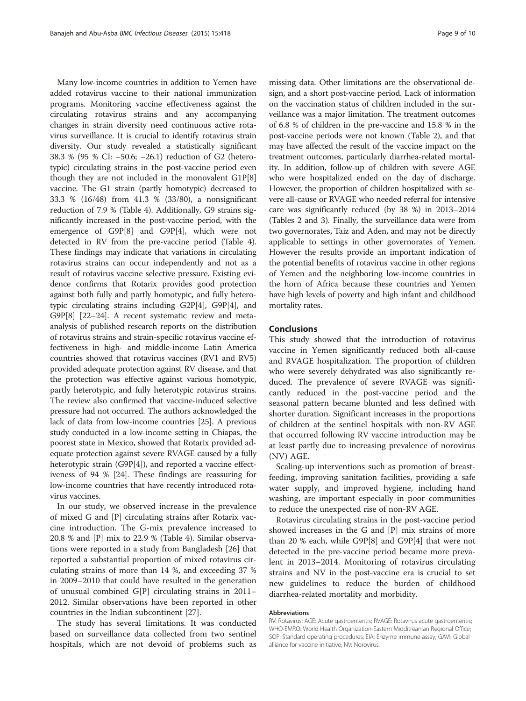Many low-income countries in addition to Yemen have added rotavirus vaccine to their national immunization programs. Monitoring vaccine effectiveness against the circulating rotavirus strains and any accompanying changes in strain diversity need continuous active rotavirus surveillance. It is crucial to identify rotavirus strain diversity. Our study revealed a statistically significant 38.3 % (95 % CI: −50.6; −26.1) reduction of G2 (heterotypic) circulating strains in the post-vaccine period even though they are not included in the monovalent G1P[8] vaccine. The G1 strain (partly homotypic) decreased to 33.3 % (16/48) from 41.3 % (33/80), a nonsignificant reduction of 7.9 % (Table [4](#page-6-0)). Additionally, G9 strains significantly increased in the post-vaccine period, with the emergence of G9P[8] and G9P[4], which were not detected in RV from the pre-vaccine period (Table [4](#page-6-0)). These findings may indicate that variations in circulating rotavirus strains can occur independently and not as a result of rotavirus vaccine selective pressure. Existing evidence confirms that Rotarix provides good protection against both fully and partly homotypic, and fully heterotypic circulating strains including G2P[4], G9P[4], and G9P[8] [\[22](#page-9-0)–[24](#page-9-0)]. A recent systematic review and metaanalysis of published research reports on the distribution of rotavirus strains and strain-specific rotavirus vaccine effectiveness in high- and middle-income Latin America countries showed that rotavirus vaccines (RV1 and RV5) provided adequate protection against RV disease, and that the protection was effective against various homotypic, partly heterotypic, and fully heterotypic rotavirus strains. The review also confirmed that vaccine-induced selective pressure had not occurred. The authors acknowledged the lack of data from low-income countries [\[25\]](#page-9-0). A previous study conducted in a low-income setting in Chiapas, the poorest state in Mexico, showed that Rotarix provided adequate protection against severe RVAGE caused by a fully heterotypic strain (G9P[4]), and reported a vaccine effectiveness of 94 % [\[24\]](#page-9-0). These findings are reassuring for low-income countries that have recently introduced rotavirus vaccines.

In our study, we observed increase in the prevalence of mixed G and [P] circulating strains after Rotarix vaccine introduction. The G-mix prevalence increased to 20.8 % and [P] mix to 22.9 % (Table [4\)](#page-6-0). Similar observations were reported in a study from Bangladesh [[26](#page-9-0)] that reported a substantial proportion of mixed rotavirus circulating strains of more than 14 %, and exceeding 37 % in 2009–2010 that could have resulted in the generation of unusual combined G[P] circulating strains in 2011– 2012. Similar observations have been reported in other countries in the Indian subcontinent [[27\]](#page-9-0).

The study has several limitations. It was conducted based on surveillance data collected from two sentinel hospitals, which are not devoid of problems such as

missing data. Other limitations are the observational design, and a short post-vaccine period. Lack of information on the vaccination status of children included in the surveillance was a major limitation. The treatment outcomes of 6.8 % of children in the pre-vaccine and 15.8 % in the post-vaccine periods were not known (Table [2](#page-5-0)), and that may have affected the result of the vaccine impact on the treatment outcomes, particularly diarrhea-related mortality. In addition, follow-up of children with severe AGE who were hospitalized ended on the day of discharge. However, the proportion of children hospitalized with severe all-cause or RVAGE who needed referral for intensive care was significantly reduced (by 38 %) in 2013–2014 (Tables [2](#page-5-0) and [3](#page-6-0)). Finally, the surveillance data were from two governorates, Taiz and Aden, and may not be directly applicable to settings in other governorates of Yemen. However the results provide an important indication of the potential benefits of rotavirus vaccine in other regions of Yemen and the neighboring low-income countries in the horn of Africa because these countries and Yemen have high levels of poverty and high infant and childhood mortality rates.

# Conclusions

This study showed that the introduction of rotavirus vaccine in Yemen significantly reduced both all-cause and RVAGE hospitalization. The proportion of children who were severely dehydrated was also significantly reduced. The prevalence of severe RVAGE was significantly reduced in the post-vaccine period and the seasonal pattern became blunted and less defined with shorter duration. Significant increases in the proportions of children at the sentinel hospitals with non-RV AGE that occurred following RV vaccine introduction may be at least partly due to increasing prevalence of norovirus (NV) AGE.

Scaling-up interventions such as promotion of breastfeeding, improving sanitation facilities, providing a safe water supply, and improved hygiene, including hand washing, are important especially in poor communities to reduce the unexpected rise of non-RV AGE.

Rotavirus circulating strains in the post-vaccine period showed increases in the G and [P] mix strains of more than 20 % each, while G9P[8] and G9P[4] that were not detected in the pre-vaccine period became more prevalent in 2013–2014. Monitoring of rotavirus circulating strains and NV in the post-vaccine era is crucial to set new guidelines to reduce the burden of childhood diarrhea-related mortality and morbidity.

#### Abbreviations

RV: Rotavirus; AGE: Acute gastroenteritis; RVAGE: Rotavirus acute gastroenteritis; WHO-EMRO: World Health Organization-Eastern Midditreanian Regional Office; SOP: Standard operating procedures; EIA: Enzyme immune assay; GAVI: Global alliance for vaccine initiative; NV: Norovirus.